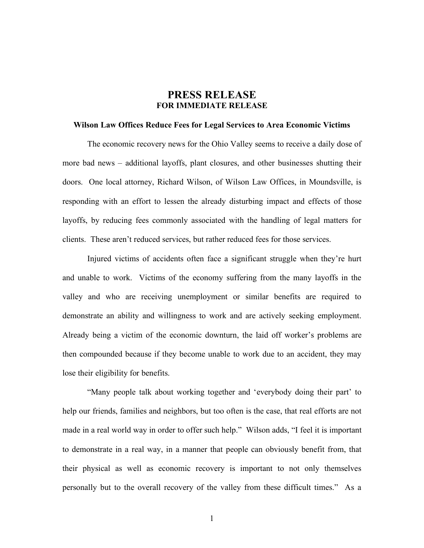## **PRESS RELEASE FOR IMMEDIATE RELEASE**

## **Wilson Law Offices Reduce Fees for Legal Services to Area Economic Victims**

The economic recovery news for the Ohio Valley seems to receive a daily dose of more bad news – additional layoffs, plant closures, and other businesses shutting their doors. One local attorney, Richard Wilson, of Wilson Law Offices, in Moundsville, is responding with an effort to lessen the already disturbing impact and effects of those layoffs, by reducing fees commonly associated with the handling of legal matters for clients. These aren't reduced services, but rather reduced fees for those services.

Injured victims of accidents often face a significant struggle when they're hurt and unable to work. Victims of the economy suffering from the many layoffs in the valley and who are receiving unemployment or similar benefits are required to demonstrate an ability and willingness to work and are actively seeking employment. Already being a victim of the economic downturn, the laid off worker's problems are then compounded because if they become unable to work due to an accident, they may lose their eligibility for benefits.

"Many people talk about working together and 'everybody doing their part' to help our friends, families and neighbors, but too often is the case, that real efforts are not made in a real world way in order to offer such help." Wilson adds, "I feel it is important to demonstrate in a real way, in a manner that people can obviously benefit from, that their physical as well as economic recovery is important to not only themselves personally but to the overall recovery of the valley from these difficult times." As a